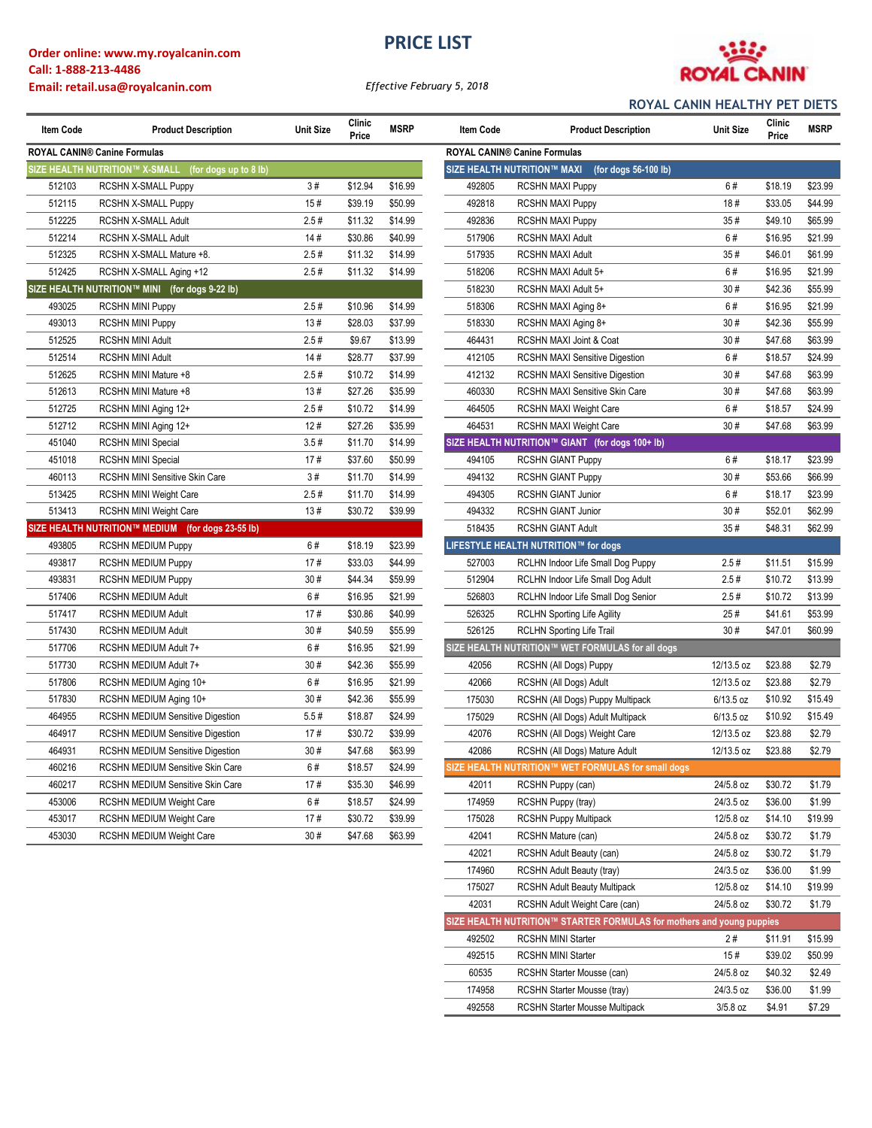### **Order online: www.my.royalcanin.com Call: 1-888-213-4486 Email: retail.usa@royalcanin.com**

## **PRICE LIST**



*Effective February 5, 2018*

### **ROYAL CANIN HEALTHY PET DIETS**

| <b>Item Code</b>               | <b>Product Description</b>                        | <b>Unit Size</b> | Clinic<br>Price | <b>MSRP</b> | Item Code                                           | <b>Product Description</b>                         | <b>Unit Size</b> | Clinic<br>Price |
|--------------------------------|---------------------------------------------------|------------------|-----------------|-------------|-----------------------------------------------------|----------------------------------------------------|------------------|-----------------|
|                                | ROYAL CANIN® Canine Formulas                      |                  |                 |             |                                                     | ROYAL CANIN® Canine Formulas                       |                  |                 |
| SIZE HEALTH NUTRITION™ X-SMALL |                                                   |                  |                 |             | SIZE HEALTH NUTRITION™ MAXI<br>(for dogs 56-100 lb) |                                                    |                  |                 |
| 512103                         | <b>RCSHN X-SMALL Puppy</b>                        | 3#               | \$12.94         | \$16.99     | 492805                                              | <b>RCSHN MAXI Puppy</b>                            | 6#               | \$18.19         |
| 512115                         | RCSHN X-SMALL Puppy                               | 15#              | \$39.19         | \$50.99     | 492818                                              | <b>RCSHN MAXI Puppy</b>                            | 18#              | \$33.05         |
| 512225                         | RCSHN X-SMALL Adult                               | 2.5#             | \$11.32         | \$14.99     | 492836                                              | <b>RCSHN MAXI Puppy</b>                            | 35#              | \$49.10         |
| 512214                         | RCSHN X-SMALL Adult                               | 14#              | \$30.86         | \$40.99     | 517906                                              | <b>RCSHN MAXI Adult</b>                            | 6#               | \$16.95         |
| 512325                         | RCSHN X-SMALL Mature +8.                          | 2.5#             | \$11.32         | \$14.99     | 517935                                              | <b>RCSHN MAXI Adult</b>                            | 35#              | \$46.01         |
| 512425                         | RCSHN X-SMALL Aging +12                           | 2.5#             | \$11.32         | \$14.99     | 518206                                              | RCSHN MAXI Adult 5+                                | 6#               | \$16.95         |
|                                | SIZE HEALTH NUTRITION™ MINI (for dogs 9-22 lb)    |                  |                 |             | 518230                                              | RCSHN MAXI Adult 5+                                | 30#              | \$42.36         |
| 493025                         | RCSHN MINI Puppy                                  | 2.5#             | \$10.96         | \$14.99     | 518306                                              | RCSHN MAXI Aging 8+                                | 6#               | \$16.95         |
| 493013                         | RCSHN MINI Puppy                                  | 13#              | \$28.03         | \$37.99     | 518330                                              | RCSHN MAXI Aging 8+                                | 30#              | \$42.36         |
| 512525                         | RCSHN MINI Adult                                  | 2.5#             | \$9.67          | \$13.99     | 464431                                              | RCSHN MAXI Joint & Coat                            | 30#              | \$47.68         |
| 512514                         | <b>RCSHN MINI Adult</b>                           | 14#              | \$28.77         | \$37.99     | 412105                                              | <b>RCSHN MAXI Sensitive Digestion</b>              | 6#               | \$18.57         |
| 512625                         | RCSHN MINI Mature +8                              | 2.5#             | \$10.72         | \$14.99     | 412132                                              | <b>RCSHN MAXI Sensitive Digestion</b>              | 30#              | \$47.68         |
| 512613                         | RCSHN MINI Mature +8                              | 13#              | \$27.26         | \$35.99     | 460330                                              | RCSHN MAXI Sensitive Skin Care                     | 30#              | \$47.68         |
| 512725                         | RCSHN MINI Aging 12+                              | 2.5#             | \$10.72         | \$14.99     | 464505                                              | <b>RCSHN MAXI Weight Care</b>                      | 6#               | \$18.57         |
| 512712                         | RCSHN MINI Aging 12+                              | 12#              | \$27.26         | \$35.99     | 464531                                              | RCSHN MAXI Weight Care                             | 30#              | \$47.68         |
| 451040                         | <b>RCSHN MINI Special</b>                         | 3.5#             | \$11.70         | \$14.99     |                                                     | SIZE HEALTH NUTRITION™ GIANT (for dogs 100+ lb)    |                  |                 |
| 451018                         | <b>RCSHN MINI Special</b>                         | 17#              | \$37.60         | \$50.99     | 494105                                              | <b>RCSHN GIANT Puppy</b>                           | 6#               | \$18.17         |
| 460113                         | RCSHN MINI Sensitive Skin Care                    | 3#               | \$11.70         | \$14.99     | 494132                                              | <b>RCSHN GIANT Puppy</b>                           | 30#              | \$53.66         |
| 513425                         | RCSHN MINI Weight Care                            | 2.5#             | \$11.70         | \$14.99     | 494305                                              | <b>RCSHN GIANT Junior</b>                          | 6#               | \$18.17         |
| 513413                         | RCSHN MINI Weight Care                            | 13#              | \$30.72         | \$39.99     | 494332                                              | <b>RCSHN GIANT Junior</b>                          | 30#              | \$52.01         |
|                                | SIZE HEALTH NUTRITION™ MEDIUM (for dogs 23-55 lb) |                  |                 |             | 518435                                              | <b>RCSHN GIANT Adult</b>                           | 35#              | \$48.31         |
| 493805                         | <b>RCSHN MEDIUM Puppy</b>                         | 6#               | \$18.19         | \$23.99     |                                                     | LIFESTYLE HEALTH NUTRITION™ for dogs               |                  |                 |
| 493817                         | <b>RCSHN MEDIUM Puppy</b>                         | 17#              | \$33.03         | \$44.99     | 527003                                              | RCLHN Indoor Life Small Dog Puppy                  | 2.5#             | \$11.51         |
| 493831                         | <b>RCSHN MEDIUM Puppy</b>                         | 30#              | \$44.34         | \$59.99     | 512904                                              | RCLHN Indoor Life Small Dog Adult                  | 2.5#             | \$10.72         |
| 517406                         | RCSHN MEDIUM Adult                                | 6#               | \$16.95         | \$21.99     | 526803                                              | RCLHN Indoor Life Small Dog Senior                 | 2.5#             | \$10.72         |
| 517417                         | RCSHN MEDIUM Adult                                | 17#              | \$30.86         | \$40.99     | 526325                                              | <b>RCLHN Sporting Life Agility</b>                 | 25#              | \$41.61         |
| 517430                         | RCSHN MEDIUM Adult                                | 30#              | \$40.59         | \$55.99     | 526125                                              | RCLHN Sporting Life Trail                          | 30#              | \$47.01         |
| 517706                         | RCSHN MEDIUM Adult 7+                             | 6#               | \$16.95         | \$21.99     |                                                     | SIZE HEALTH NUTRITION™ WET FORMULAS for all dogs   |                  |                 |
| 517730                         | RCSHN MEDIUM Adult 7+                             | 30#              | \$42.36         | \$55.99     | 42056                                               | RCSHN (All Dogs) Puppy                             | 12/13.5 oz       | \$23.88         |
| 517806                         | RCSHN MEDIUM Aging 10+                            | 6#               | \$16.95         | \$21.99     | 42066                                               | RCSHN (All Dogs) Adult                             | 12/13.5 oz       | \$23.88         |
| 517830                         | RCSHN MEDIUM Aging 10+                            | 30#              | \$42.36         | \$55.99     | 175030                                              | RCSHN (All Dogs) Puppy Multipack                   | $6/13.5$ oz      | \$10.92         |
| 464955                         | <b>RCSHN MEDIUM Sensitive Digestion</b>           | 5.5#             | \$18.87         | \$24.99     | 175029                                              | RCSHN (All Dogs) Adult Multipack                   | $6/13.5$ oz      | \$10.92         |
| 464917                         | <b>RCSHN MEDIUM Sensitive Digestion</b>           | 17#              | \$30.72         | \$39.99     | 42076                                               | RCSHN (All Dogs) Weight Care                       | 12/13.5 oz       | \$23.88         |
| 464931                         | <b>RCSHN MEDIUM Sensitive Digestion</b>           | 30#              | \$47.68         | \$63.99     | 42086                                               | RCSHN (All Dogs) Mature Adult                      | 12/13.5 oz       | \$23.88         |
| 460216                         | RCSHN MEDIUM Sensitive Skin Care                  | 6#               | \$18.57         | \$24.99     |                                                     | SIZE HEALTH NUTRITION™ WET FORMULAS for small dogs |                  |                 |
| 460217                         | RCSHN MEDIUM Sensitive Skin Care                  | 17#              | \$35.30         | \$46.99     | 42011                                               | RCSHN Puppy (can)                                  | 24/5.8 oz        | \$30.72         |
| 453006                         | RCSHN MEDIUM Weight Care                          | 6#               | \$18.57         | \$24.99     | 174959                                              | RCSHN Puppy (tray)                                 | 24/3.5 oz        | \$36.00         |
| 453017                         | <b>RCSHN MEDIUM Weight Care</b>                   | 17#              | \$30.72         | \$39.99     | 175028                                              | <b>RCSHN Puppy Multipack</b>                       | 12/5.8 oz        | \$14.10         |
| 453030                         | RCSHN MEDIUM Weight Care                          | 30#              | \$47.68         | \$63.99     | 42041                                               | RCSHN Mature (can)                                 | 24/5.8 oz        | \$30.72         |

| Item Code                    | <b>Product Description</b>                              | <b>Unit Size</b> | Clinic<br>Price | <b>MSRP</b> | Item Code | <b>Product Description</b>                                            | <b>Unit Size</b> | Clinic<br>Price | <b>MSRP</b> |
|------------------------------|---------------------------------------------------------|------------------|-----------------|-------------|-----------|-----------------------------------------------------------------------|------------------|-----------------|-------------|
| ROYAL CANIN® Canine Formulas |                                                         |                  |                 |             |           | <b>ROYAL CANIN® Canine Formulas</b>                                   |                  |                 |             |
|                              | SIZE HEALTH NUTRITION™ X-SMALL<br>(for dogs up to 8 lb) |                  |                 |             |           | SIZE HEALTH NUTRITION™ MAXI<br>(for dogs 56-100 lb)                   |                  |                 |             |
| 512103                       | <b>RCSHN X-SMALL Puppy</b>                              | 3#               | \$12.94         | \$16.99     | 492805    | <b>RCSHN MAXI Puppy</b>                                               | 6#               | \$18.19         | \$23.99     |
| 512115                       | RCSHN X-SMALL Puppy                                     | 15#              | \$39.19         | \$50.99     | 492818    | <b>RCSHN MAXI Puppy</b>                                               | 18#              | \$33.05         | \$44.99     |
| 512225                       | RCSHN X-SMALL Adult                                     | 2.5#             | \$11.32         | \$14.99     | 492836    | <b>RCSHN MAXI Puppy</b>                                               | 35#              | \$49.10         | \$65.99     |
| 512214                       | RCSHN X-SMALL Adult                                     | 14#              | \$30.86         | \$40.99     | 517906    | RCSHN MAXI Adult                                                      | 6#               | \$16.95         | \$21.99     |
| 512325                       | RCSHN X-SMALL Mature +8.                                | 2.5#             | \$11.32         | \$14.99     | 517935    | RCSHN MAXI Adult                                                      | 35#              | \$46.01         | \$61.99     |
| 512425                       | RCSHN X-SMALL Aging +12                                 | 2.5#             | \$11.32         | \$14.99     | 518206    | RCSHN MAXI Adult 5+                                                   | 6#               | \$16.95         | \$21.99     |
|                              | SIZE HEALTH NUTRITION™ MINI (for dogs 9-22 lb)          |                  |                 |             | 518230    | RCSHN MAXI Adult 5+                                                   | 30#              | \$42.36         | \$55.99     |
| 493025                       | RCSHN MINI Puppy                                        | 2.5#             | \$10.96         | \$14.99     | 518306    | RCSHN MAXI Aging 8+                                                   | 6#               | \$16.95         | \$21.99     |
| 493013                       | <b>RCSHN MINI Puppy</b>                                 | 13#              | \$28.03         | \$37.99     | 518330    | RCSHN MAXI Aging 8+                                                   | 30#              | \$42.36         | \$55.99     |
| 512525                       | <b>RCSHN MINI Adult</b>                                 | 2.5#             | \$9.67          | \$13.99     | 464431    | RCSHN MAXI Joint & Coat                                               | 30#              | \$47.68         | \$63.99     |
| 512514                       | <b>RCSHN MINI Adult</b>                                 | 14#              | \$28.77         | \$37.99     | 412105    | <b>RCSHN MAXI Sensitive Digestion</b>                                 | 6#               | \$18.57         | \$24.99     |
| 512625                       | RCSHN MINI Mature +8                                    | 2.5#             | \$10.72         | \$14.99     | 412132    | <b>RCSHN MAXI Sensitive Digestion</b>                                 | 30#              | \$47.68         | \$63.99     |
| 512613                       | RCSHN MINI Mature +8                                    | 13#              | \$27.26         | \$35.99     | 460330    | RCSHN MAXI Sensitive Skin Care                                        | 30#              | \$47.68         | \$63.99     |
| 512725                       | RCSHN MINI Aging 12+                                    | 2.5#             | \$10.72         | \$14.99     | 464505    | RCSHN MAXI Weight Care                                                | 6#               | \$18.57         | \$24.99     |
| 512712                       | RCSHN MINI Aging 12+                                    | 12#              | \$27.26         | \$35.99     | 464531    | RCSHN MAXI Weight Care                                                | 30#              | \$47.68         | \$63.99     |
| 451040                       | <b>RCSHN MINI Special</b>                               | 3.5#             | \$11.70         | \$14.99     |           | SIZE HEALTH NUTRITION™ GIANT (for dogs 100+ lb)                       |                  |                 |             |
| 451018                       | <b>RCSHN MINI Special</b>                               | 17#              | \$37.60         | \$50.99     | 494105    | <b>RCSHN GIANT Puppy</b>                                              | 6#               | \$18.17         | \$23.99     |
| 460113                       | RCSHN MINI Sensitive Skin Care                          | 3#               | \$11.70         | \$14.99     | 494132    | <b>RCSHN GIANT Puppy</b>                                              | 30#              | \$53.66         | \$66.99     |
| 513425                       | RCSHN MINI Weight Care                                  | 2.5#             | \$11.70         | \$14.99     | 494305    | <b>RCSHN GIANT Junior</b>                                             | 6#               | \$18.17         | \$23.99     |
| 513413                       | <b>RCSHN MINI Weight Care</b>                           | 13#              | \$30.72         | \$39.99     | 494332    | <b>RCSHN GIANT Junior</b>                                             | 30#              | \$52.01         | \$62.99     |
|                              | SIZE HEALTH NUTRITION™ MEDIUM (for dogs 23-55 lb)       |                  |                 |             | 518435    | RCSHN GIANT Adult                                                     | 35#              | \$48.31         | \$62.99     |
| 493805                       | <b>RCSHN MEDIUM Puppy</b>                               | 6#               | \$18.19         | \$23.99     |           | LIFESTYLE HEALTH NUTRITION™ for dogs                                  |                  |                 |             |
| 493817                       | <b>RCSHN MEDIUM Puppy</b>                               | 17#              | \$33.03         | \$44.99     | 527003    | RCLHN Indoor Life Small Dog Puppy                                     | 2.5#             | \$11.51         | \$15.99     |
| 493831                       | <b>RCSHN MEDIUM Puppy</b>                               | 30#              | \$44.34         | \$59.99     | 512904    | RCLHN Indoor Life Small Dog Adult                                     | 2.5#             | \$10.72         | \$13.99     |
| 517406                       | RCSHN MEDIUM Adult                                      | 6#               | \$16.95         | \$21.99     | 526803    | RCLHN Indoor Life Small Dog Senior                                    | 2.5#             | \$10.72         | \$13.99     |
| 517417                       | RCSHN MEDIUM Adult                                      | 17#              | \$30.86         | \$40.99     | 526325    | <b>RCLHN Sporting Life Agility</b>                                    | 25#              | \$41.61         | \$53.99     |
| 517430                       | RCSHN MEDIUM Adult                                      | 30#              | \$40.59         | \$55.99     | 526125    | <b>RCLHN Sporting Life Trail</b>                                      | 30#              | \$47.01         | \$60.99     |
| 517706                       | RCSHN MEDIUM Adult 7+                                   | 6#               | \$16.95         | \$21.99     |           | SIZE HEALTH NUTRITION™ WET FORMULAS for all dogs                      |                  |                 |             |
| 517730                       | RCSHN MEDIUM Adult 7+                                   | 30#              | \$42.36         | \$55.99     | 42056     | RCSHN (All Dogs) Puppy                                                | 12/13.5 oz       | \$23.88         | \$2.79      |
| 517806                       | RCSHN MEDIUM Aging 10+                                  | 6#               | \$16.95         | \$21.99     | 42066     | RCSHN (All Dogs) Adult                                                | 12/13.5 oz       | \$23.88         | \$2.79      |
| 517830                       | RCSHN MEDIUM Aging 10+                                  | 30#              | \$42.36         | \$55.99     | 175030    | RCSHN (All Dogs) Puppy Multipack                                      | $6/13.5$ oz      | \$10.92         | \$15.49     |
| 464955                       | <b>RCSHN MEDIUM Sensitive Digestion</b>                 | 5.5#             | \$18.87         | \$24.99     | 175029    | RCSHN (All Dogs) Adult Multipack                                      | $6/13.5$ oz      | \$10.92         | \$15.49     |
| 464917                       | <b>RCSHN MEDIUM Sensitive Digestion</b>                 | 17#              | \$30.72         | \$39.99     | 42076     | RCSHN (All Dogs) Weight Care                                          | 12/13.5 oz       | \$23.88         | \$2.79      |
| 464931                       | <b>RCSHN MEDIUM Sensitive Digestion</b>                 | 30#              | \$47.68         | \$63.99     | 42086     | RCSHN (All Dogs) Mature Adult                                         | 12/13.5 oz       | \$23.88         | \$2.79      |
| 460216                       | RCSHN MEDIUM Sensitive Skin Care                        | 6#               | \$18.57         | \$24.99     |           | SIZE HEALTH NUTRITION™ WET FORMULAS for small dogs                    |                  |                 |             |
| 460217                       | RCSHN MEDIUM Sensitive Skin Care                        | 17#              | \$35.30         | \$46.99     | 42011     | RCSHN Puppy (can)                                                     | 24/5.8 oz        | \$30.72         | \$1.79      |
| 453006                       | RCSHN MEDIUM Weight Care                                | 6#               | \$18.57         | \$24.99     | 174959    | RCSHN Puppy (tray)                                                    | 24/3.5 oz        | \$36.00         | \$1.99      |
| 453017                       | RCSHN MEDIUM Weight Care                                | 17#              | \$30.72         | \$39.99     | 175028    | <b>RCSHN Puppy Multipack</b>                                          | 12/5.8 oz        | \$14.10         | \$19.99     |
| 453030                       | RCSHN MEDIUM Weight Care                                | 30#              | \$47.68         | \$63.99     | 42041     | RCSHN Mature (can)                                                    | 24/5.8 oz        | \$30.72         | \$1.79      |
|                              |                                                         |                  |                 |             | 42021     | RCSHN Adult Beauty (can)                                              | 24/5.8 oz        | \$30.72         | \$1.79      |
|                              |                                                         |                  |                 |             | 174960    | RCSHN Adult Beauty (tray)                                             | 24/3.5 oz        | \$36.00         | \$1.99      |
|                              |                                                         |                  |                 |             | 175027    | <b>RCSHN Adult Beauty Multipack</b>                                   | 12/5.8 oz        | \$14.10         | \$19.99     |
|                              |                                                         |                  |                 |             | 42031     | RCSHN Adult Weight Care (can)                                         | 24/5.8 oz        | \$30.72         | \$1.79      |
|                              |                                                         |                  |                 |             |           | SIZE HEALTH NUTRITION™ STARTER FORMULAS for mothers and young puppies |                  |                 |             |
|                              |                                                         |                  |                 |             | 492502    | <b>RCSHN MINI Starter</b>                                             | 2#               | \$11.91         | \$15.99     |
|                              |                                                         |                  |                 |             | 492515    | <b>RCSHN MINI Starter</b>                                             | 15#              | \$39.02         | \$50.99     |
|                              |                                                         |                  |                 |             | 60535     | RCSHN Starter Mousse (can)                                            | 24/5.8 oz        | \$40.32         | \$2.49      |
|                              |                                                         |                  |                 |             | 174958    | RCSHN Starter Mousse (tray)                                           | 24/3.5 oz        | \$36.00         | \$1.99      |
|                              |                                                         |                  |                 |             | 492558    | <b>RCSHN Starter Mousse Multipack</b>                                 | $3/5.8$ oz       | \$4.91          | \$7.29      |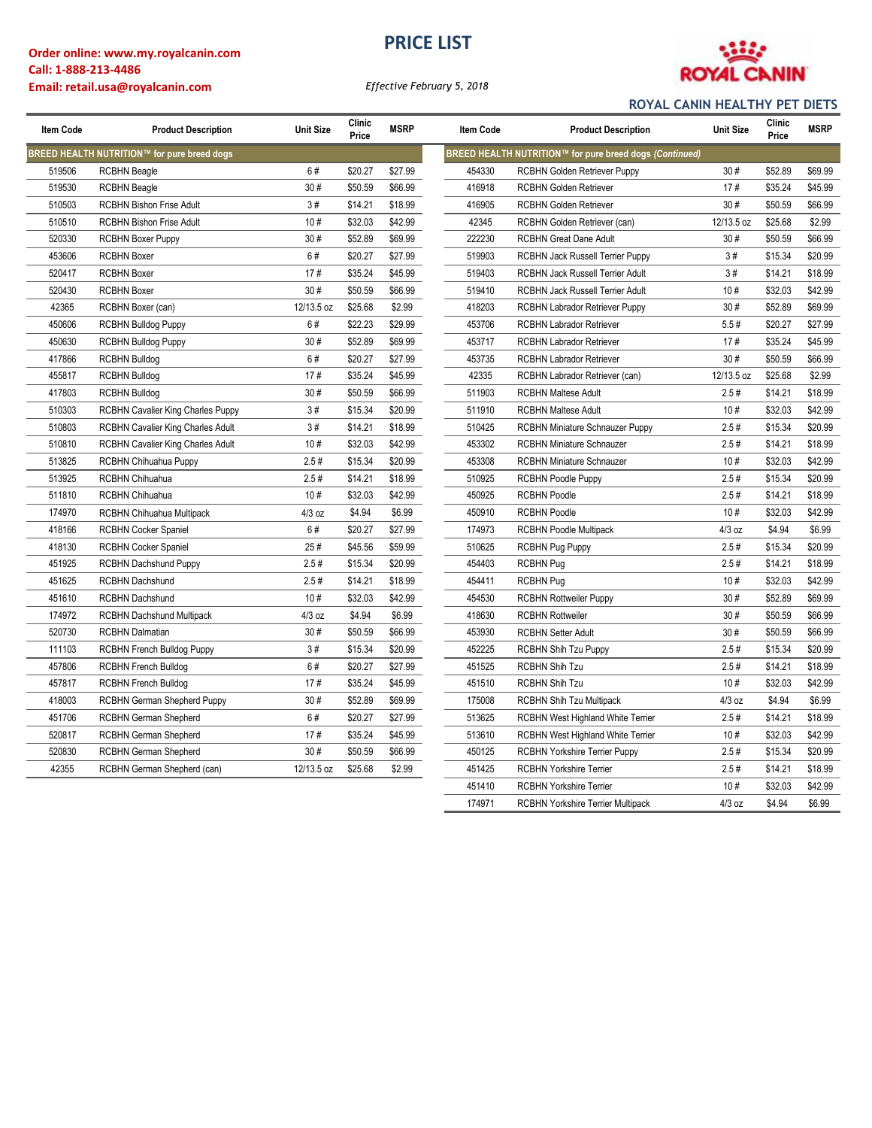### **Order online: www.my.royalcanin.com Call: 1-888-213-4486 Email: retail.usa@royalcanin.com**

# **PRICE LIST**



*Effective February 5, 2018*

### **ROYAL CANIN HEALTHY PET DIETS**

174971 RCBHN Yorkshire Terrier Multipack 4/3 oz \$4.94 \$6.99

| Item Code | <b>Product Description</b>                  | <b>Unit Size</b> | Clinic<br>Price | <b>MSRP</b> | Item Code | <b>Product Description</b>                              | <b>Unit Size</b> | Clinic<br>Price | <b>MSRP</b> |
|-----------|---------------------------------------------|------------------|-----------------|-------------|-----------|---------------------------------------------------------|------------------|-----------------|-------------|
|           | BREED HEALTH NUTRITION™ for pure breed dogs |                  |                 |             |           | BREED HEALTH NUTRITION™ for pure breed dogs (Continued) |                  |                 |             |
| 519506    | <b>RCBHN Beagle</b>                         | 6#               | \$20.27         | \$27.99     | 454330    | <b>RCBHN Golden Retriever Puppy</b>                     | 30#              | \$52.89         | \$69.99     |
| 519530    | <b>RCBHN Beagle</b>                         | 30#              | \$50.59         | \$66.99     | 416918    | <b>RCBHN Golden Retriever</b>                           | 17#              | \$35.24         | \$45.99     |
| 510503    | <b>RCBHN Bishon Frise Adult</b>             | 3#               | \$14.21         | \$18.99     | 416905    | RCBHN Golden Retriever                                  | 30#              | \$50.59         | \$66.99     |
| 510510    | <b>RCBHN Bishon Frise Adult</b>             | 10#              | \$32.03         | \$42.99     | 42345     | RCBHN Golden Retriever (can)                            | 12/13.5 oz       | \$25.68         | \$2.99      |
| 520330    | <b>RCBHN Boxer Puppy</b>                    | 30#              | \$52.89         | \$69.99     | 222230    | <b>RCBHN Great Dane Adult</b>                           | 30#              | \$50.59         | \$66.99     |
| 453606    | <b>RCBHN Boxer</b>                          | 6#               | \$20.27         | \$27.99     | 519903    | RCBHN Jack Russell Terrier Puppy                        | 3#               | \$15.34         | \$20.99     |
| 520417    | <b>RCBHN Boxer</b>                          | 17#              | \$35.24         | \$45.99     | 519403    | RCBHN Jack Russell Terrier Adult                        | 3#               | \$14.21         | \$18.99     |
| 520430    | <b>RCBHN Boxer</b>                          | 30#              | \$50.59         | \$66.99     | 519410    | RCBHN Jack Russell Terrier Adult                        | 10#              | \$32.03         | \$42.99     |
| 42365     | RCBHN Boxer (can)                           | 12/13.5 oz       | \$25.68         | \$2.99      | 418203    | RCBHN Labrador Retriever Puppy                          | 30#              | \$52.89         | \$69.99     |
| 450606    | <b>RCBHN Bulldog Puppy</b>                  | 6#               | \$22.23         | \$29.99     | 453706    | RCBHN Labrador Retriever                                | 5.5#             | \$20.27         | \$27.99     |
| 450630    | <b>RCBHN Bulldog Puppy</b>                  | 30#              | \$52.89         | \$69.99     | 453717    | RCBHN Labrador Retriever                                | 17#              | \$35.24         | \$45.99     |
| 417866    | <b>RCBHN Bulldog</b>                        | 6#               | \$20.27         | \$27.99     | 453735    | <b>RCBHN Labrador Retriever</b>                         | 30#              | \$50.59         | \$66.99     |
| 455817    | <b>RCBHN Bulldog</b>                        | 17#              | \$35.24         | \$45.99     | 42335     | RCBHN Labrador Retriever (can)                          | 12/13.5 oz       | \$25.68         | \$2.99      |
| 417803    | <b>RCBHN Bulldog</b>                        | 30#              | \$50.59         | \$66.99     | 511903    | <b>RCBHN Maltese Adult</b>                              | 2.5#             | \$14.21         | \$18.99     |
| 510303    | RCBHN Cavalier King Charles Puppy           | 3#               | \$15.34         | \$20.99     | 511910    | <b>RCBHN Maltese Adult</b>                              | 10#              | \$32.03         | \$42.99     |
| 510803    | RCBHN Cavalier King Charles Adult           | 3#               | \$14.21         | \$18.99     | 510425    | RCBHN Miniature Schnauzer Puppy                         | 2.5#             | \$15.34         | \$20.99     |
| 510810    | RCBHN Cavalier King Charles Adult           | 10#              | \$32.03         | \$42.99     | 453302    | <b>RCBHN Miniature Schnauzer</b>                        | 2.5#             | \$14.21         | \$18.99     |
| 513825    | RCBHN Chihuahua Puppy                       | 2.5#             | \$15.34         | \$20.99     | 453308    | RCBHN Miniature Schnauzer                               | 10#              | \$32.03         | \$42.99     |
| 513925    | RCBHN Chihuahua                             | 2.5#             | \$14.21         | \$18.99     | 510925    | <b>RCBHN Poodle Puppy</b>                               | 2.5#             | \$15.34         | \$20.99     |
| 511810    | RCBHN Chihuahua                             | 10#              | \$32.03         | \$42.99     | 450925    | <b>RCBHN Poodle</b>                                     | 2.5#             | \$14.21         | \$18.99     |
| 174970    | RCBHN Chihuahua Multipack                   | 4/3 oz           | \$4.94          | \$6.99      | 450910    | <b>RCBHN Poodle</b>                                     | 10#              | \$32.03         | \$42.99     |
| 418166    | <b>RCBHN Cocker Spaniel</b>                 | 6#               | \$20.27         | \$27.99     | 174973    | <b>RCBHN Poodle Multipack</b>                           | $4/3$ oz         | \$4.94          | \$6.99      |
| 418130    | <b>RCBHN Cocker Spaniel</b>                 | 25#              | \$45.56         | \$59.99     | 510625    | <b>RCBHN Pug Puppy</b>                                  | 2.5#             | \$15.34         | \$20.99     |
| 451925    | <b>RCBHN Dachshund Puppy</b>                | 2.5#             | \$15.34         | \$20.99     | 454403    | <b>RCBHN Pug</b>                                        | 2.5#             | \$14.21         | \$18.99     |
| 451625    | <b>RCBHN Dachshund</b>                      | 2.5#             | \$14.21         | \$18.99     | 454411    | <b>RCBHN Pug</b>                                        | 10#              | \$32.03         | \$42.99     |
| 451610    | <b>RCBHN Dachshund</b>                      | 10#              | \$32.03         | \$42.99     | 454530    | <b>RCBHN Rottweiler Puppy</b>                           | 30#              | \$52.89         | \$69.99     |
| 174972    | <b>RCBHN Dachshund Multipack</b>            | $4/3$ oz         | \$4.94          | \$6.99      | 418630    | <b>RCBHN Rottweiler</b>                                 | 30#              | \$50.59         | \$66.99     |
| 520730    | RCBHN Dalmatian                             | 30#              | \$50.59         | \$66.99     | 453930    | <b>RCBHN Setter Adult</b>                               | 30#              | \$50.59         | \$66.99     |
| 111103    | <b>RCBHN French Bulldog Puppy</b>           | 3#               | \$15.34         | \$20.99     | 452225    | <b>RCBHN Shih Tzu Puppy</b>                             | 2.5#             | \$15.34         | \$20.99     |
| 457806    | <b>RCBHN French Bulldog</b>                 | 6#               | \$20.27         | \$27.99     | 451525    | <b>RCBHN Shih Tzu</b>                                   | 2.5#             | \$14.21         | \$18.99     |
| 457817    | <b>RCBHN French Bulldog</b>                 | 17#              | \$35.24         | \$45.99     | 451510    | <b>RCBHN Shih Tzu</b>                                   | 10#              | \$32.03         | \$42.99     |
| 418003    | RCBHN German Shepherd Puppy                 | 30#              | \$52.89         | \$69.99     | 175008    | RCBHN Shih Tzu Multipack                                | $4/3$ oz         | \$4.94          | \$6.99      |
| 451706    | RCBHN German Shepherd                       | 6#               | \$20.27         | \$27.99     | 513625    | RCBHN West Highland White Terrier                       | 2.5#             | \$14.21         | \$18.99     |
| 520817    | RCBHN German Shepherd                       | 17#              | \$35.24         | \$45.99     | 513610    | RCBHN West Highland White Terrier                       | 10#              | \$32.03         | \$42.99     |
| 520830    | RCBHN German Shepherd                       | 30#              | \$50.59         | \$66.99     | 450125    | <b>RCBHN Yorkshire Terrier Puppy</b>                    | 2.5#             | \$15.34         | \$20.99     |
| 42355     | RCBHN German Shepherd (can)                 | 12/13.5 oz       | \$25.68         | \$2.99      | 451425    | <b>RCBHN Yorkshire Terrier</b>                          | 2.5#             | \$14.21         | \$18.99     |
|           |                                             |                  |                 |             | 451410    | <b>RCBHN Yorkshire Terrier</b>                          | 10#              | \$32.03         | \$42.99     |